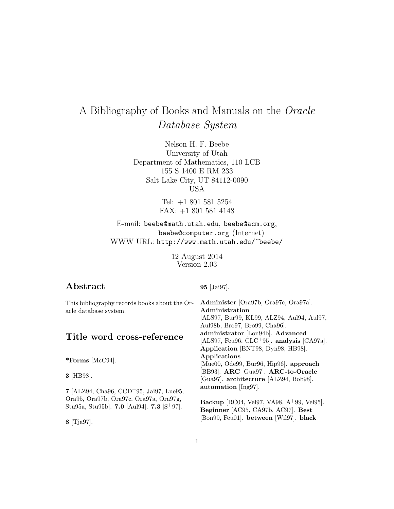# A Bibliography of Books and Manuals on the Oracle Database System

Nelson H. F. Beebe University of Utah Department of Mathematics, 110 LCB 155 S 1400 E RM 233 Salt Lake City, UT 84112-0090 USA

> Tel: +1 801 581 5254 FAX: +1 801 581 4148

E-mail: beebe@math.utah.edu, beebe@acm.org, beebe@computer.org (Internet) WWW URL: http://www.math.utah.edu/~beebe/

> 12 August 2014 Version 2.03

# **Abstract**

**95** [Jai97].

| This bibliography records books about the Or-          | Administer [Ora97b, Ora97c, Ora97a].        |
|--------------------------------------------------------|---------------------------------------------|
| acle database system.                                  | Administration                              |
|                                                        | [ALS97, Bur99, KL99, ALZ94, Aul94, Aul97,   |
|                                                        | Aul98b, Bro97, Bro99, Cha96.                |
| Title word cross-reference                             | administrator [Lon94b]. Advanced            |
|                                                        | [ALS97, Feu96, CLC+95]. analysis [CA97a].   |
|                                                        | Application [BNT98, Dyn98, HB98].           |
| *Forms [ $\text{McC94}$ ].                             | Applications                                |
|                                                        | [Mue00, Ode99, Bur96, Hip96]. approach      |
| 3 [HB98].                                              | [BB93]. ARC [Gua97]. ARC-to-Oracle          |
|                                                        | [Gua97]. architecture [ALZ94, Bob98].       |
|                                                        | automation [Ing97].                         |
| 7 [ALZ94, Cha96, CCD <sup>+</sup> 95, Jai97, Lue95,    |                                             |
| Ora95, Ora97b, Ora97c, Ora97a, Ora97g,                 | Backup [RC04, Vel97, VA98, $A+99$ , Vel95]. |
| Stu95a, Stu95b]. 7.0 [Aul94]. 7.3 [S <sup>+</sup> 97]. | Beginner [AC95, CA97b, AC97]. Best          |
|                                                        | [Bon99, Feu01]. between [Wil97]. black      |
| $8$ [Tja97].                                           |                                             |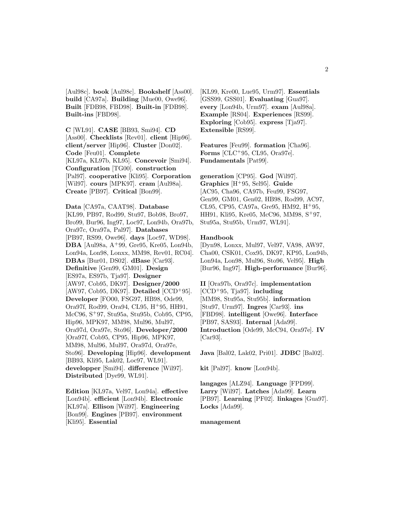[Aul98c]. **book** [Aul98c]. **Bookshelf** [Ass00]. **build** [CA97a]. **Building** [Mue00, Owe96]. **Built** [FDB98, FBD98]. **Built-in** [FDB98]. **Built-ins** [FBD98].

**C** [WL91]. **CASE** [BB93, Smi94]. **CD** [Ass00]. **Checklists** [Rev01]. **client** [Hip96]. **client/server** [Hip96]. **Cluster** [Don02]. **Code** [Feu01]. **Complete** [KL97a, KL97b, KL95]. **Concevoir** [Smi94]. **Configuration** [TG00]. **construction** [Pal97]. **cooperative** [Kli95]. **Corporation** [Wil97]. **cours** [MPK97]. **cram** [Aul98a]. **Create** [PB97]. **Critical** [Bon99].

**Data** [CA97a, CAAT98]. **Database** [KL99, PB97, Rod99, Stu97, Bob98, Bro97, Bro99, Bur96, Ing97, Loc97, Lon94b, Ora97b, Ora97c, Ora97a, Pal97]. **Databases** [PB97, RS99, Owe96]. **days** [Loc97, WD98]. **DBA** [Aul98a, A<sup>+</sup>99, Gre95, Kre05, Lon94b, Lon94a, Lon98, Lonxx, MM98, Rev01, RC04]. **DBAs** [Bur01, DS02]. **dBase** [Car93]. **Definitive** [Gen99, GM01]. **Design** [ES97a, ES97b, Tja97]. **Designer** [AW97, Cob95, DK97]. **Designer/2000** [AW97, Cob95, DK97]. **Detailed** [CCD<sup>+</sup>95]. **Developer** [FO00, FSG97, HB98, Ode99, Ora97f, Rod99, Ora94, CL95, H<sup>+</sup>95, HH91, McC96, S<sup>+</sup>97, Stu95a, Stu95b, Cob95, CP95, Hip96, MPK97, MM98, Mul96, Mul97, Ora97d, Ora97e, Sto96]. **Developer/2000** [Ora97f, Cob95, CP95, Hip96, MPK97, MM98, Mul96, Mul97, Ora97d, Ora97e, Sto96]. **Developing** [Hip96]. **development** [BB93, Kli95, Lak02, Loc97, WL91]. **developper** [Smi94]. **difference** [Wil97]. **Distributed** [Dye99, WL91].

**Edition** [KL97a, Vel97, Lon94a]. **effective** [Lon94b]. **efficient** [Lon94b]. **Electronic** [KL97a]. **Ellison** [Wil97]. **Engineering** [Bon99]. **Engines** [PB97]. **environment** [Kli95]. **Essential**

[KL99, Kre00, Lue95, Urm97]. **Essentials** [GSS99, GSS01]. **Evaluating** [Gua97]. **every** [Lon94b, Urm97]. **exam** [Aul98a]. **Example** [RS04]. **Experiences** [RS99]. **Exploring** [Cob95]. **express** [Tja97]. **Extensible** [RS99].

**Features** [Feu99]. **formation** [Cha96]. **Forms** [CLC<sup>+</sup>95, CL95, Ora97e]. **Fundamentals** [Pat99].

**generation** [CP95]. **God** [Wil97]. **Graphics** [H<sup>+</sup>95, Sel95]. **Guide** [AC95, Cha96, CA97b, Feu99, FSG97, Gen99, GM01, Gen02, HB98, Rod99, AC97, CL95, CP95, CA97a, Gre95, HM92, H<sup>+</sup>95, HH91, Kli95, Kre05, McC96, MM98, S<sup>+</sup>97, Stu95a, Stu95b, Urm97, WL91].

#### **Handbook**

[Dyn98, Lonxx, Mul97, Vel97, VA98, AW97, Cha00, CSK01, Cox95, DK97, KP95, Lon94b, Lon94a, Lon98, Mul96, Sto96, Vel95]. **High** [Bur96, Ing97]. **High-performance** [Bur96].

**II** [Ora97b, Ora97c]. **implementation** [CCD<sup>+</sup>95, Tja97]. **including** [MM98, Stu95a, Stu95b]. **information** [Stu97, Urm97]. **Ingres** [Car93]. **ins** [FBD98]. **intelligent** [Owe96]. **Interface** [PB97, SAS93]. **Internal** [Ada99]. **Introduction** [Ode99, McC94, Ora97e]. **IV** [Car93].

**Java** [Bal02, Lak02, Pri01]. **JDBC** [Bal02].

**kit** [Pal97]. **know** [Lon94b].

**langages** [ALZ94]. **Language** [FPD99]. **Larry** [Wil97]. **Latches** [Ada99]. **Learn** [PB97]. **Learning** [PF02]. **linkages** [Gua97]. **Locks** [Ada99].

#### **management**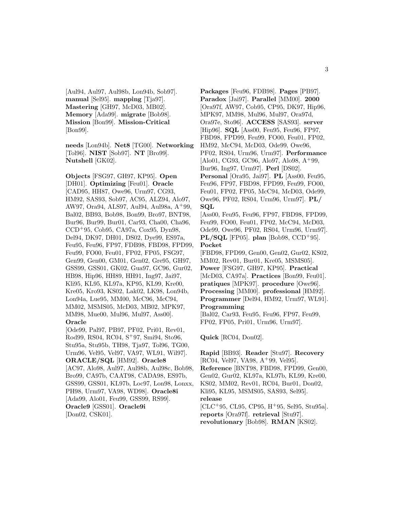[Aul94, Aul97, Aul98b, Lon94b, Sob97]. **manual** [Sel95]. **mapping** [Tja97]. **Mastering** [GH97, McD03, MB02]. **Memory** [Ada99]. **migrate** [Bob98]. **Mission** [Bon99]. **Mission-Critical** [Bon99].

**needs** [Lon94b]. **Net8** [TG00]. **Networking** [Tol96]. **NIST** [Sob97]. **NT** [Bro99]. **Nutshell** [GK02].

**Objects** [FSG97, GH97, KP95]. **Open** [DH01]. **Optimizing** [Feu01]. **Oracle** [CAD95, HH87, Owe96, Urm97, CG93, HM92, SAS93, Sob97, AC95, ALZ94, Alo97, AW97, Ora94, ALS97, Aul94, Aul98a, A<sup>+</sup>99, Bal02, BB93, Bob98, Bon99, Bro97, BNT98, Bur96, Bur99, Bur01, Car93, Cha00, Cha96, CCD<sup>+</sup>95, Cob95, CA97a, Cox95, Dyn98, Del94, DK97, DH01, DS02, Dye99, ES97a, Feu95, Feu96, FP97, FDB98, FBD98, FPD99, Feu99, FO00, Feu01, FP02, FP05, FSG97, Gen99, Gen00, GM01, Gen02, Gre95, GH97, GSS99, GSS01, GK02, Gua97, GC96, Gur02, HB98, Hip96, HH89, HH91, Ing97, Jai97, Kli95, KL95, KL97a, KP95, KL99, Kre00, Kre05, Kro93, KS02, Lak02, LK98, Lon94b, Lon94a, Lue95, MM00, McC96, McC94, MM02, MSMS05, McD03, MB02, MPK97, MM98, Mue00, Mul96, Mul97, Ass00]. **Oracle** [Ode99, Pal97, PB97, PF02, Pri01, Rev01, Rod99, RS04, RC04, S<sup>+</sup>97, Smi94, Sto96, Stu95a, Stu95b, TH98, Tja97, Tol96, TG00, Urm96, Vel95, Vel97, VA97, WL91, Wil97]. **ORACLE/SQL** [HM92]. **Oracle8** [AC97, Alo98, Aul97, Aul98b, Aul98c, Bob98, Bro99, CA97b, CAAT98, CADA98, ES97b,

GSS99, GSS01, KL97b, Loc97, Lon98, Lonxx, PH98, Urm97, VA98, WD98]. **Oracle8i** [Ada99, Alo01, Feu99, GSS99, RS99]. **Oracle9** [GSS01]. **Oracle9i** [Don02, CSK01].

**Packages** [Feu96, FDB98]. **Pages** [PB97]. **Paradox** [Jai97]. **Parallel** [MM00]. **2000** [Ora97f, AW97, Cob95, CP95, DK97, Hip96, MPK97, MM98, Mul96, Mul97, Ora97d, Ora97e, Sto96]. **ACCESS** [SAS93]. **server** [Hip96]. **SQL** [Ass00, Feu95, Feu96, FP97, FBD98, FPD99, Feu99, FO00, Feu01, FP02, HM92, McC94, McD03, Ode99, Owe96, PF02, RS04, Urm96, Urm97]. **Performance** [Alo01, CG93, GC96, Alo97, Alo98, A<sup>+</sup>99, Bur96, Ing97, Urm97]. **Perl** [DS02]. **Personal** [Ora95, Jai97]. **PL** [Ass00, Feu95, Feu96, FP97, FBD98, FPD99, Feu99, FO00, Feu01, FP02, FP05, McC94, McD03, Ode99, Owe96, PF02, RS04, Urm96, Urm97]. **PL/ SQL** [Ass00, Feu95, Feu96, FP97, FBD98, FPD99, Feu99, FO00, Feu01, FP02, McC94, McD03, Ode99, Owe96, PF02, RS04, Urm96, Urm97]. **PL/SQL** [FP05]. **plan** [Bob98, CCD<sup>+</sup>95]. **Pocket** [FBD98, FPD99, Gen00, Gen02, Gur02, KS02, MM02, Rev01, Bur01, Kre05, MSMS05]. **Power** [FSG97, GH97, KP95]. **Practical** [McD03, CA97a]. **Practices** [Bon99, Feu01]. **pratiques** [MPK97]. **procedure** [Owe96]. **Processing** [MM00]. **professional** [HM92]. **Programmer** [Del94, HM92, Urm97, WL91]. **Programming** [Bal02, Car93, Feu95, Feu96, FP97, Feu99, FP02, FP05, Pri01, Urm96, Urm97].

**Quick** [RC04, Don02].

**Rapid** [BB93]. **Reader** [Stu97]. **Recovery** [RC04, Vel97, VA98, A<sup>+</sup>99, Vel95]. **Reference** [BNT98, FBD98, FPD99, Gen00, Gen02, Gur02, KL97a, KL97b, KL99, Kre00, KS02, MM02, Rev01, RC04, Bur01, Don02, Kli95, KL95, MSMS05, SAS93, Sel95]. **release** [CLC<sup>+</sup>95, CL95, CP95, H<sup>+</sup>95, Sel95, Stu95a]. **reports** [Ora97f]. **retrieval** [Stu97].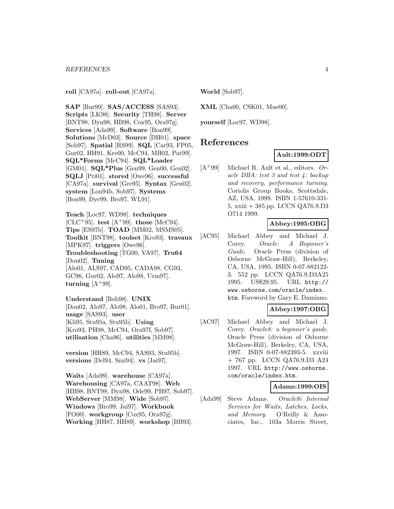**roll** [CA97a]. **roll-out** [CA97a].

**SAP** [Bur99]. **SAS/ACCESS** [SAS93]. **Scripts** [LK98]. **Security** [TH98]. **Server** [BNT98, Dyn98, HB98, Cox95, Ora97g]. **Services** [Ada99]. **Software** [Bon99]. **Solutions** [McD03]. **Source** [DH01]. **space** [Sob97]. **Spatial** [RS99]. **SQL** [Car93, FP05, Gur02, HH91, Kre00, McC94, MB02, Pat99]. **SQL\*Forms** [McC94]. **SQL\*Loader** [GM01]. **SQL\*Plus** [Gen99, Gen00, Gen02]. **SQLJ** [Pri01]. **stored** [Owe96]. **successful** [CA97a]. **survival** [Gre95]. **Syntax** [Gen02]. **system** [Lon94b, Sob97]. **Systems** [Bon99, Dye99, Bro97, WL91].

**Teach** [Loc97, WD98]. **techniques**  $[CLC+95]$ . **test**  $[A+99]$ . **those**  $[McC94]$ . **Tips** [ES97b]. **TOAD** [MM02, MSMS05]. **Toolkit** [BNT98]. **toolset** [Kro93]. **travaux** [MPK97]. **triggers** [Owe96]. **Troubleshooting** [TG00, VA97]. **Tru64** [Don02]. **Tuning** [Alo01, ALS97, CAD95, CADA98, CG93, GC96, Gur02, Alo97, Alo98, Urm97]. **turning**  $[A+99]$ .

**Understand** [Bob98]. **UNIX** [Don02, Alo97, Alo98, Alo01, Bro97, Bur01]. **usage** [SAS93]. **user** [Kli95, Stu95a, Stu95b]. **Using** [Kro93, PH98, McC94, Ora97f, Sob97]. **utilisation** [Cha96]. **utilities** [MM98].

**version** [HH89, McC94, SAS93, Stu95b]. **versions** [Del94, Smi94]. **vs** [Jai97].

**Waits** [Ada99]. **warehouse** [CA97a]. **Warehousing** [CA97a, CAAT98]. **Web** [HB98, BNT98, Dyn98, Ode99, PB97, Sob97]. **WebServer** [MM98]. **Wide** [Sob97]. **Windows** [Bro99, Jai97]. **Workbook** [FO00]. **workgroup** [Cox95, Ora97g]. **Working** [HH87, HH89]. **workshop** [BB93]. **World** [Sob97].

**XML** [Cha00, CSK01, Mue00].

**yourself** [Loc97, WD98].

# **References**

### **Ault:1999:ODT**

 $[A+99]$  Michael R. Ault et al., editors. Oracle DBA: test 3 and test 4: backup and recovery, performance turning. Coriolis Group Books, Scottsdale, AZ, USA, 1999. ISBN 1-57610-331- 5. xxiii + 385 pp. LCCN QA76.9.D3 O714 1999.

### **Abbey:1995:OBG**

[AC95] Michael Abbey and Michael J. Corey. Oracle: A Beginner's Guide. Oracle Press (division of Osborne McGraw-Hill), Berkeley, CA, USA, 1995. ISBN 0-07-882122- 3. 552 pp. LCCN QA76.9.D3A25 1995. US\$29.95. URL http:// www.osborne.com/oracle/index. htm. Foreword by Gary E. Damiano.

# **Abbey:1997:OBG**

[AC97] Michael Abbey and Michael J. Corey. Oracle8: a beginner's guide. Oracle Press (division of Osborne McGraw-Hill), Berkeley, CA, USA, 1997. ISBN 0-07-882393-5. xxviii + 767 pp. LCCN QA76.9.D3 A24 1997. URL http://www.osborne. com/oracle/index.htm.

#### **Adams:1999:OIS**

[Ada99] Steve Adams. Oracle8i Internal Services for Waits, Latches, Locks, and Memory. O'Reilly & Associates, Inc., 103a Morris Street,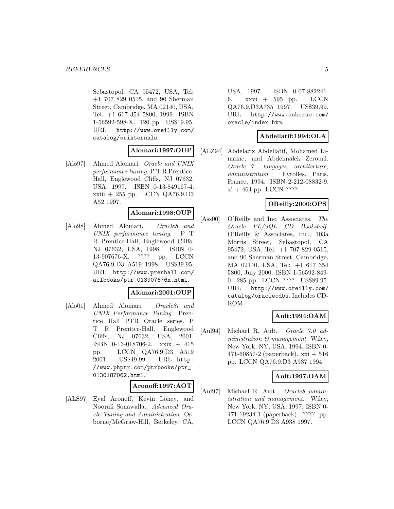Sebastopol, CA 95472, USA, Tel: +1 707 829 0515, and 90 Sherman Street, Cambridge, MA 02140, USA, Tel: +1 617 354 5800, 1999. ISBN 1-56592-598-X. 120 pp. US\$19.95. URL http://www.oreilly.com/ catalog/orinternals.

# **Alomari:1997:OUP**

[Alo97] Ahmed Alomari. Oracle and UNIX performance tuning. P T R Prentice-Hall, Englewood Cliffs, NJ 07632, USA, 1997. ISBN 0-13-849167-4. xxiii + 255 pp. LCCN QA76.9.D3 A52 1997.

### **Alomari:1998:OUP**

[Alo98] Ahmed Alomari. Oracle8 and UNIX performance tuning.  $P T$ R Prentice-Hall, Englewood Cliffs, NJ 07632, USA, 1998. ISBN 0- 13-907676-X. ???? pp. LCCN QA76.9.D3 A519 1998. US\$39.95. URL http://www.prenhall.com/ allbooks/ptr\_013907676x.html.

#### **Alomari:2001:OUP**

[Alo01] Ahmed Alomari. Oracle8i and UNIX Performance Tuning. Prentice Hall PTR Oracle series. P T R Prentice-Hall, Englewood Cliffs, NJ 07632, USA, 2001. ISBN 0-13-018706-2. xxix + 415 pp. LCCN QA76.9.D3 A519 2001. US\$49.99. URL http: //www.phptr.com/ptrbooks/ptr\_ 0130187062.html.

#### **Aronoff:1997:AOT**

[ALS97] Eyal Aronoff, Kevin Loney, and Noorali Sonawalla. Advanced Oracle Tuning and Administration. Osborne/McGraw-Hill, Berkeley, CA,

USA, 1997. ISBN 0-07-882241- 6. xxvi + 595 pp. LCCN QA76.9.D3A735 1997. US\$39.99. URL http://www.osborne.com/ oracle/index.htm.

# **Abdellatif:1994:OLA**

[ALZ94] Abdelaziz Abdellatif, Mohamed Limame, and Abdelmalek Zeroual. Oracle 7: langages, architecture, administration. Eyrolles, Paris, France, 1994. ISBN 2-212-08832-9.  $xi + 464$  pp. LCCN ????

### **OReilly:2000:OPS**

[Ass00] O'Reilly and Inc. Associates. The Oracle PL/SQL CD Bookshelf. O'Reilly & Associates, Inc., 103a Morris Street, Sebastopol, CA 95472, USA, Tel: +1 707 829 0515, and 90 Sherman Street, Cambridge, MA 02140, USA, Tel: +1 617 354 5800, July 2000. ISBN 1-56592-849- 0. 285 pp. LCCN ???? US\$89.95. URL http://www.oreilly.com/ catalog/oraclecdbs. Includes CD-ROM.

# **Ault:1994:OAM**

[Aul94] Michael R. Ault. Oracle 7.0 administration  $\mathcal{B}$  management. Wiley, New York, NY, USA, 1994. ISBN 0- 471-60857-2 (paperback).  $xxi + 516$ pp. LCCN QA76.9.D3 A937 1994.

#### **Ault:1997:OAM**

[Aul97] Michael R. Ault. Oracle8 administration and management. Wiley, New York, NY, USA, 1997. ISBN 0- 471-19234-1 (paperback). ???? pp. LCCN QA76.9.D3 A938 1997.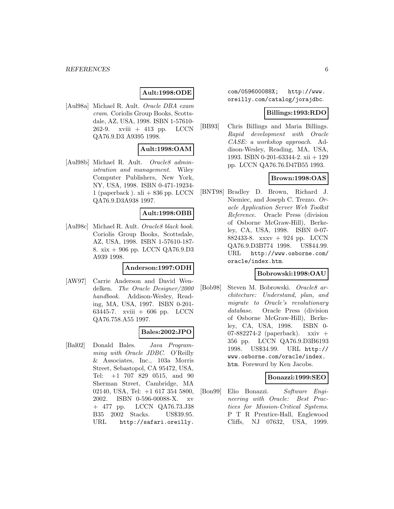# **Ault:1998:ODE**

[Aul98a] Michael R. Ault. Oracle DBA exam cram. Coriolis Group Books, Scottsdale, AZ, USA, 1998. ISBN 1-57610- 262-9. xviii + 413 pp. LCCN QA76.9.D3 A9395 1998.

### **Ault:1998:OAM**

[Aul98b] Michael R. Ault. Oracle8 administration and management. Wiley Computer Publishers, New York, NY, USA, 1998. ISBN 0-471-19234- 1 (paperback).  $xli + 836$  pp. LCCN QA76.9.D3A938 1997.

#### **Ault:1998:OBB**

[Aul98c] Michael R. Ault. Oracle8 black book. Coriolis Group Books, Scottsdale, AZ, USA, 1998. ISBN 1-57610-187- 8. xix + 906 pp. LCCN QA76.9.D3 A939 1998.

# **Anderson:1997:ODH**

[AW97] Carrie Anderson and David Wendelken. The Oracle Designer/2000 handbook. Addison-Wesley, Reading, MA, USA, 1997. ISBN 0-201- 63445-7. xviii + 606 pp. LCCN QA76.758.A55 1997.

#### **Bales:2002:JPO**

[Bal02] Donald Bales. Java Programming with Oracle JDBC. O'Reilly & Associates, Inc., 103a Morris Street, Sebastopol, CA 95472, USA, Tel: +1 707 829 0515, and 90 Sherman Street, Cambridge, MA 02140, USA, Tel: +1 617 354 5800, 2002. ISBN 0-596-00088-X. xv + 477 pp. LCCN QA76.73.J38 B35 2002 Stacks. US\$39.95. URL http://safari.oreilly.

com/059600088X; http://www. oreilly.com/catalog/jorajdbc.

# **Billings:1993:RDO**

[BB93] Chris Billings and Maria Billings. Rapid development with Oracle CASE: a workshop approach. Addison-Wesley, Reading, MA, USA, 1993. ISBN 0-201-63344-2. xii + 129 pp. LCCN QA76.76.D47B55 1993.

# **Brown:1998:OAS**

[BNT98] Bradley D. Brown, Richard J. Niemiec, and Joseph C. Trezzo. Oracle Application Server Web Toolkit Reference. Oracle Press (division of Osborne McGraw-Hill), Berkeley, CA, USA, 1998. ISBN 0-07- 882433-8. xxxv + 924 pp. LCCN QA76.9.D3B774 1998. US\$44.99. URL http://www.osborne.com/ oracle/index.htm.

#### **Bobrowski:1998:OAU**

[Bob98] Steven M. Bobrowski. Oracle8 architecture: Understand, plan, and migrate to Oracle's revolutionary database. Oracle Press (division of Osborne McGraw-Hill), Berkeley, CA, USA, 1998. ISBN 0- 07-882274-2 (paperback).  $x x i v +$ 356 pp. LCCN QA76.9.D3B6193 1998. US\$34.99. URL http:// www.osborne.com/oracle/index. htm. Foreword by Ken Jacobs.

#### **Bonazzi:1999:SEO**

[Bon99] Elio Bonazzi. Software Engineering with Oracle: Best Practices for Mission-Critical Systems. P T R Prentice-Hall, Englewood Cliffs, NJ 07632, USA, 1999.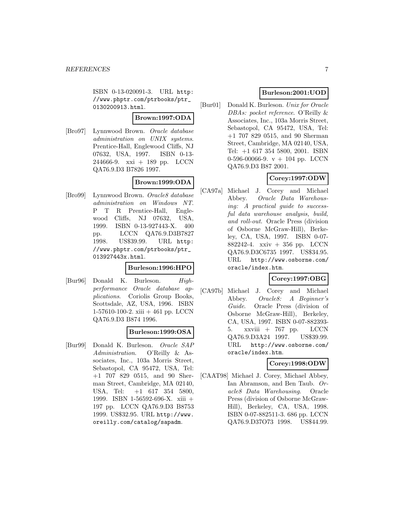ISBN 0-13-020091-3. URL http: //www.phptr.com/ptrbooks/ptr\_ 0130200913.html.

#### **Brown:1997:ODA**

[Bro97] Lynnwood Brown. Oracle database administration on UNIX systems. Prentice-Hall, Englewood Cliffs, NJ 07632, USA, 1997. ISBN 0-13- 244666-9. xxi + 189 pp. LCCN QA76.9.D3 B7826 1997.

# **Brown:1999:ODA**

[Bro99] Lynnwood Brown. Oracle8 database administration on Windows NT. P T R Prentice-Hall, Englewood Cliffs, NJ 07632, USA, 1999. ISBN 0-13-927443-X. 400 pp. LCCN QA76.9.D3B7827 1998. US\$39.99. URL http: //www.phptr.com/ptrbooks/ptr\_ 013927443x.html.

#### **Burleson:1996:HPO**

[Bur96] Donald K. Burleson. Highperformance Oracle database applications. Coriolis Group Books, Scottsdale, AZ, USA, 1996. ISBN 1-57610-100-2. xiii  $+461$  pp. LCCN QA76.9.D3 B874 1996.

# **Burleson:1999:OSA**

[Bur99] Donald K. Burleson. Oracle SAP Administration. O'Reilly & Associates, Inc., 103a Morris Street, Sebastopol, CA 95472, USA, Tel: +1 707 829 0515, and 90 Sherman Street, Cambridge, MA 02140, USA, Tel: +1 617 354 5800, 1999. ISBN 1-56592-696-X. xiii + 197 pp. LCCN QA76.9.D3 B8753 1999. US\$32.95. URL http://www. oreilly.com/catalog/sapadm.

# **Burleson:2001:UOD**

[Bur01] Donald K. Burleson. Unix for Oracle DBAs: pocket reference. O'Reilly & Associates, Inc., 103a Morris Street, Sebastopol, CA 95472, USA, Tel: +1 707 829 0515, and 90 Sherman Street, Cambridge, MA 02140, USA, Tel: +1 617 354 5800, 2001. ISBN 0-596-00066-9. v + 104 pp. LCCN QA76.9.D3 B87 2001.

# **Corey:1997:ODW**

[CA97a] Michael J. Corey and Michael Abbey. Oracle Data Warehousing: A practical guide to successful data warehouse analysis, build, and roll-out. Oracle Press (division of Osborne McGraw-Hill), Berkeley, CA, USA, 1997. ISBN 0-07- 882242-4. xxiv + 356 pp. LCCN QA76.9.D3C6735 1997. US\$34.95. URL http://www.osborne.com/ oracle/index.htm.

# **Corey:1997:OBG**

[CA97b] Michael J. Corey and Michael Abbey. Oracle8: A Beginner's Guide. Oracle Press (division of Osborne McGraw-Hill), Berkeley, CA, USA, 1997. ISBN 0-07-882393- 5. xxviii + 767 pp. LCCN QA76.9.D3A24 1997. US\$39.99. URL http://www.osborne.com/ oracle/index.htm.

# **Corey:1998:ODW**

[CAAT98] Michael J. Corey, Michael Abbey, Ian Abramson, and Ben Taub. Oracle8 Data Warehousing. Oracle Press (division of Osborne McGraw-Hill), Berkeley, CA, USA, 1998. ISBN 0-07-882511-3. 686 pp. LCCN QA76.9.D37O73 1998. US\$44.99.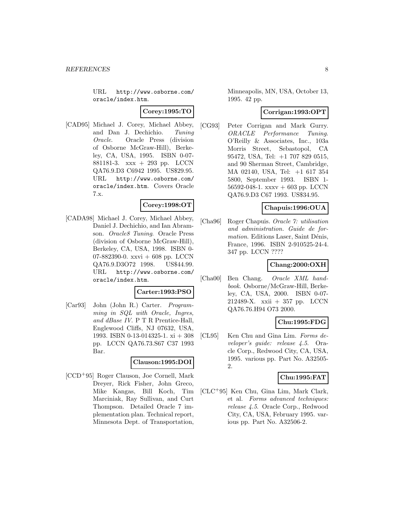URL http://www.osborne.com/ oracle/index.htm.

### **Corey:1995:TO**

[CAD95] Michael J. Corey, Michael Abbey, and Dan J. Dechichio. Tuning Oracle. Oracle Press (division of Osborne McGraw-Hill), Berkeley, CA, USA, 1995. ISBN 0-07- 881181-3. xxx + 293 pp. LCCN QA76.9.D3 C6942 1995. US\$29.95. URL http://www.osborne.com/ oracle/index.htm. Covers Oracle 7.x.

### **Corey:1998:OT**

[CADA98] Michael J. Corey, Michael Abbey, Daniel J. Dechichio, and Ian Abramson. Oracle8 Tuning. Oracle Press (division of Osborne McGraw-Hill), Berkeley, CA, USA, 1998. ISBN 0- 07-882390-0. xxvi + 608 pp. LCCN QA76.9.D3O72 1998. US\$44.99. URL http://www.osborne.com/ oracle/index.htm.

#### **Carter:1993:PSO**

[Car93] John (John R.) Carter. Programming in SQL with Oracle, Ingres, and dBase IV. P T R Prentice-Hall, Englewood Cliffs, NJ 07632, USA, 1993. ISBN 0-13-014325-1. xi + 308 pp. LCCN QA76.73.S67 C37 1993 Bar.

#### **Clauson:1995:DOI**

[CCD<sup>+</sup>95] Roger Clauson, Joe Cornell, Mark Dreyer, Rick Fisher, John Greco, Mike Kangas, Bill Koch, Tim Marciniak, Ray Sullivan, and Curt Thompson. Detailed Oracle 7 implementation plan. Technical report, Minnesota Dept. of Transportation,

Minneapolis, MN, USA, October 13, 1995. 42 pp.

### **Corrigan:1993:OPT**

[CG93] Peter Corrigan and Mark Gurry. ORACLE Performance Tuning. O'Reilly & Associates, Inc., 103a Morris Street, Sebastopol, CA 95472, USA, Tel: +1 707 829 0515, and 90 Sherman Street, Cambridge, MA 02140, USA, Tel: +1 617 354 5800, September 1993. ISBN 1- 56592-048-1. xxxv + 603 pp. LCCN QA76.9.D3 C67 1993. US\$34.95.

#### **Chapuis:1996:OUA**

[Cha96] Roger Chapuis. Oracle 7: utilisation and administration. Guide de formation. Editions Laser, Saint Dénis, France, 1996. ISBN 2-910525-24-4. 347 pp. LCCN ????

# **Chang:2000:OXH**

[Cha00] Ben Chang. Oracle XML handbook. Osborne/McGraw-Hill, Berkeley, CA, USA, 2000. ISBN 0-07- 212489-X. xxii + 357 pp. LCCN QA76.76.H94 O73 2000.

#### **Chu:1995:FDG**

[CL95] Ken Chu and Gina Lim. Forms developer's guide: release 4.5. Oracle Corp., Redwood City, CA, USA, 1995. various pp. Part No. A32505- 2.

#### **Chu:1995:FAT**

[CLC<sup>+</sup>95] Ken Chu, Gina Lim, Mark Clark, et al. Forms advanced techniques: release 4.5. Oracle Corp., Redwood City, CA, USA, February 1995. various pp. Part No. A32506-2.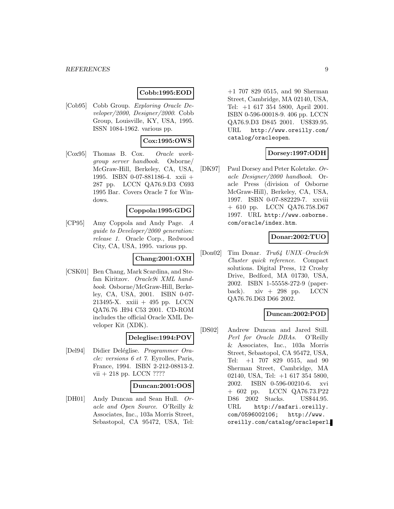# **Cobb:1995:EOD**

[Cob95] Cobb Group. Exploring Oracle Developer/2000, Designer/2000. Cobb Group, Louisville, KY, USA, 1995. ISSN 1084-1962. various pp.

# **Cox:1995:OWS**

[Cox95] Thomas B. Cox. Oracle workgroup server handbook. Osborne/ McGraw-Hill, Berkeley, CA, USA, 1995. ISBN 0-07-881186-4. xxii + 287 pp. LCCN QA76.9.D3 C693 1995 Bar. Covers Oracle 7 for Windows.

#### **Coppola:1995:GDG**

[CP95] Amy Coppola and Andy Page. A guide to Developer/2000 generation: release 1. Oracle Corp., Redwood City, CA, USA, 1995. various pp.

# **Chang:2001:OXH**

[CSK01] Ben Chang, Mark Scardina, and Stefan Kiritzov. Oracle9i XML handbook. Osborne/McGraw-Hill, Berkeley, CA, USA, 2001. ISBN 0-07- 213495-X. xxiii + 495 pp. LCCN QA76.76 .H94 C53 2001. CD-ROM includes the official Oracle XML Developer Kit (XDK).

# **Deleglise:1994:POV**

[Del94] Didier Deléglise. Programmer Oracle: versions 6 et 7. Eyrolles, Paris, France, 1994. ISBN 2-212-08813-2. vii + 218 pp. LCCN ????

#### **Duncan:2001:OOS**

[DH01] Andy Duncan and Sean Hull. Oracle and Open Source. O'Reilly & Associates, Inc., 103a Morris Street, Sebastopol, CA 95472, USA, Tel:

+1 707 829 0515, and 90 Sherman Street, Cambridge, MA 02140, USA, Tel: +1 617 354 5800, April 2001. ISBN 0-596-00018-9. 406 pp. LCCN QA76.9.D3 D845 2001. US\$39.95. URL http://www.oreilly.com/ catalog/oracleopen.

### **Dorsey:1997:ODH**

[DK97] Paul Dorsey and Peter Koletzke. Oracle Designer/2000 handbook. Oracle Press (division of Osborne McGraw-Hill), Berkeley, CA, USA, 1997. ISBN 0-07-882229-7. xxviii + 610 pp. LCCN QA76.758.D67 1997. URL http://www.osborne. com/oracle/index.htm.

# **Donar:2002:TUO**

[Don02] Tim Donar. Tru64 UNIX–Oracle9i Cluster quick reference. Compact solutions. Digital Press, 12 Crosby Drive, Bedford, MA 01730, USA, 2002. ISBN 1-55558-272-9 (paperback).  $xiv + 298$  pp. LCCN QA76.76.D63 D66 2002.

### **Duncan:2002:POD**

[DS02] Andrew Duncan and Jared Still. Perl for Oracle DBAs. O'Reilly & Associates, Inc., 103a Morris Street, Sebastopol, CA 95472, USA, Tel: +1 707 829 0515, and 90 Sherman Street, Cambridge, MA 02140, USA, Tel: +1 617 354 5800, 2002. ISBN 0-596-00210-6. xvi + 602 pp. LCCN QA76.73.P22 D86 2002 Stacks. US\$44.95. URL http://safari.oreilly. com/0596002106; http://www. oreilly.com/catalog/oracleperl.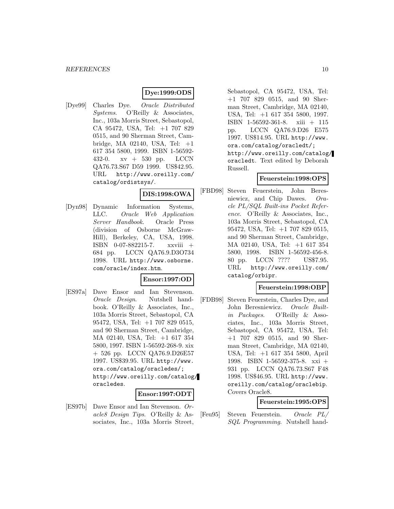# **Dye:1999:ODS**

[Dye99] Charles Dye. Oracle Distributed Systems. O'Reilly & Associates, Inc., 103a Morris Street, Sebastopol, CA 95472, USA, Tel: +1 707 829 0515, and 90 Sherman Street, Cambridge, MA 02140, USA, Tel:  $+1$ 617 354 5800, 1999. ISBN 1-56592- 432-0. xv + 530 pp. LCCN QA76.73.S67 D59 1999. US\$42.95. URL http://www.oreilly.com/ catalog/ordistsys/.

### **DIS:1998:OWA**

[Dyn98] Dynamic Information Systems, LLC. Oracle Web Application Server Handbook. Oracle Press (division of Osborne McGraw-Hill), Berkeley, CA, USA, 1998. ISBN 0-07-882215-7. xxviii + 684 pp. LCCN QA76.9.D3O734 1998. URL http://www.osborne. com/oracle/index.htm.

#### **Ensor:1997:OD**

[ES97a] Dave Ensor and Ian Stevenson. Oracle Design. Nutshell handbook. O'Reilly & Associates, Inc., 103a Morris Street, Sebastopol, CA 95472, USA, Tel: +1 707 829 0515, and 90 Sherman Street, Cambridge, MA 02140, USA, Tel: +1 617 354 5800, 1997. ISBN 1-56592-268-9. xix + 526 pp. LCCN QA76.9.D26E57 1997. US\$39.95. URL http://www. ora.com/catalog/oracledes/; http://www.oreilly.com/catalog/ oracledes.

#### **Ensor:1997:ODT**

[ES97b] Dave Ensor and Ian Stevenson. Oracle8 Design Tips. O'Reilly & Associates, Inc., 103a Morris Street,

Sebastopol, CA 95472, USA, Tel: +1 707 829 0515, and 90 Sherman Street, Cambridge, MA 02140, USA, Tel: +1 617 354 5800, 1997. ISBN 1-56592-361-8. xiii + 115 pp. LCCN QA76.9.D26 E575 1997. US\$14.95. URL http://www. ora.com/catalog/oracledt/; http://www.oreilly.com/catalog/ oracledt. Text edited by Deborah Russell.

### **Feuerstein:1998:OPS**

[FBD98] Steven Feuerstein, John Beresniewicz, and Chip Dawes. Oracle PL/SQL Built-ins Pocket Reference. O'Reilly & Associates, Inc., 103a Morris Street, Sebastopol, CA 95472, USA, Tel: +1 707 829 0515, and 90 Sherman Street, Cambridge, MA 02140, USA, Tel: +1 617 354 5800, 1998. ISBN 1-56592-456-8. 80 pp. LCCN ???? US\$7.95. URL http://www.oreilly.com/ catalog/orbipr.

### **Feuerstein:1998:OBP**

[FDB98] Steven Feuerstein, Charles Dye, and John Beresniewicz. Oracle Builtin Packages. O'Reilly & Associates, Inc., 103a Morris Street, Sebastopol, CA 95472, USA, Tel: +1 707 829 0515, and 90 Sherman Street, Cambridge, MA 02140, USA, Tel: +1 617 354 5800, April 1998. ISBN 1-56592-375-8. xxi + 931 pp. LCCN QA76.73.S67 F48 1998. US\$46.95. URL http://www. oreilly.com/catalog/oraclebip. Covers Oracle8.

# **Feuerstein:1995:OPS**

[Feu95] Steven Feuerstein. Oracle PL/ SQL Programming. Nutshell hand-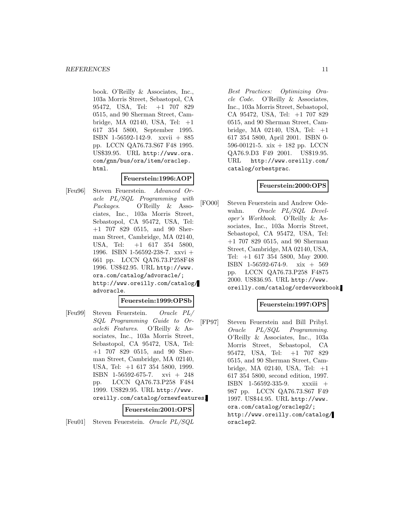book. O'Reilly & Associates, Inc., 103a Morris Street, Sebastopol, CA 95472, USA, Tel: +1 707 829 0515, and 90 Sherman Street, Cambridge, MA 02140, USA, Tel: +1 617 354 5800, September 1995. ISBN 1-56592-142-9. xxvii + 885 pp. LCCN QA76.73.S67 F48 1995. US\$39.95. URL http://www.ora. com/gnn/bus/ora/item/oraclep. html.

# **Feuerstein:1996:AOP**

[Feu96] Steven Feuerstein. Advanced Oracle PL/SQL Programming with Packages. O'Reilly & Associates, Inc., 103a Morris Street, Sebastopol, CA 95472, USA, Tel: +1 707 829 0515, and 90 Sherman Street, Cambridge, MA 02140, USA, Tel: +1 617 354 5800, 1996. ISBN 1-56592-238-7. xxvi + 661 pp. LCCN QA76.73.P258F48 1996. US\$42.95. URL http://www. ora.com/catalog/advoracle/; http://www.oreilly.com/catalog/ advoracle.

# **Feuerstein:1999:OPSb**

[Feu99] Steven Feuerstein. Oracle PL/ SQL Programming Guide to Oracle8i Features. O'Reilly & Associates, Inc., 103a Morris Street, Sebastopol, CA 95472, USA, Tel: +1 707 829 0515, and 90 Sherman Street, Cambridge, MA 02140, USA, Tel: +1 617 354 5800, 1999. ISBN 1-56592-675-7. xvi + 248 pp. LCCN QA76.73.P258 F484 1999. US\$29.95. URL http://www. oreilly.com/catalog/ornewfeatures.

#### **Feuerstein:2001:OPS**

[Feu01] Steven Feuerstein. Oracle PL/SQL

Best Practices: Optimizing Oracle Code. O'Reilly & Associates, Inc., 103a Morris Street, Sebastopol, CA 95472, USA, Tel: +1 707 829 0515, and 90 Sherman Street, Cambridge, MA 02140, USA, Tel: +1 617 354 5800, April 2001. ISBN 0- 596-00121-5. xix + 182 pp. LCCN QA76.9.D3 F49 2001. US\$19.95. URL http://www.oreilly.com/ catalog/orbestprac.

# **Feuerstein:2000:OPS**

[FO00] Steven Feuerstein and Andrew Odewahn. Oracle PL/SQL Developer's Workbook. O'Reilly & Associates, Inc., 103a Morris Street, Sebastopol, CA 95472, USA, Tel: +1 707 829 0515, and 90 Sherman Street, Cambridge, MA 02140, USA, Tel: +1 617 354 5800, May 2000. ISBN 1-56592-674-9. xix + 569 pp. LCCN QA76.73.P258 F4875 2000. US\$36.95. URL http://www. oreilly.com/catalog/ordevworkbook.

### **Feuerstein:1997:OPS**

[FP97] Steven Feuerstein and Bill Pribyl. Oracle PL/SQL Programming. O'Reilly & Associates, Inc., 103a Morris Street, Sebastopol, CA 95472, USA, Tel: +1 707 829 0515, and 90 Sherman Street, Cambridge, MA 02140, USA, Tel: +1 617 354 5800, second edition, 1997. ISBN 1-56592-335-9. xxxiii + 987 pp. LCCN QA76.73.S67 F49 1997. US\$44.95. URL http://www. ora.com/catalog/oraclep2/; http://www.oreilly.com/catalog/ oraclep2.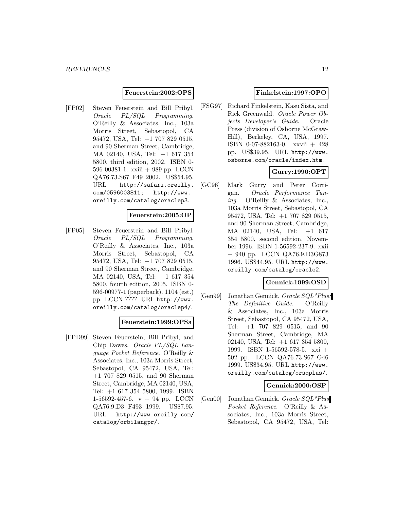#### **Feuerstein:2002:OPS**

[FP02] Steven Feuerstein and Bill Pribyl. Oracle PL/SQL Programming. O'Reilly & Associates, Inc., 103a Morris Street, Sebastopol, CA 95472, USA, Tel: +1 707 829 0515, and 90 Sherman Street, Cambridge, MA 02140, USA, Tel: +1 617 354 5800, third edition, 2002. ISBN 0- 596-00381-1. xxiii + 989 pp. LCCN QA76.73.S67 F49 2002. US\$54.95. URL http://safari.oreilly. com/0596003811; http://www. oreilly.com/catalog/oraclep3.

#### **Feuerstein:2005:OP**

[FP05] Steven Feuerstein and Bill Pribyl. Oracle PL/SQL Programming. O'Reilly & Associates, Inc., 103a Morris Street, Sebastopol, CA 95472, USA, Tel: +1 707 829 0515, and 90 Sherman Street, Cambridge, MA 02140, USA, Tel: +1 617 354 5800, fourth edition, 2005. ISBN 0- 596-00977-1 (paperback). 1104 (est.) pp. LCCN ???? URL http://www. oreilly.com/catalog/oraclep4/.

#### **Feuerstein:1999:OPSa**

[FPD99] Steven Feuerstein, Bill Pribyl, and Chip Dawes. Oracle PL/SQL Language Pocket Reference. O'Reilly & Associates, Inc., 103a Morris Street, Sebastopol, CA 95472, USA, Tel: +1 707 829 0515, and 90 Sherman Street, Cambridge, MA 02140, USA, Tel: +1 617 354 5800, 1999. ISBN 1-56592-457-6.  $v + 94$  pp. LCCN QA76.9.D3 F493 1999. US\$7.95. URL http://www.oreilly.com/ catalog/orbilangpr/.

### **Finkelstein:1997:OPO**

[FSG97] Richard Finkelstein, Kasu Sista, and Rick Greenwald. Oracle Power Objects Developer's Guide. Oracle Press (division of Osborne McGraw-Hill), Berkeley, CA, USA, 1997. ISBN 0-07-882163-0. xxvii + 428 pp. US\$39.95. URL http://www. osborne.com/oracle/index.htm.

# **Gurry:1996:OPT**

[GC96] Mark Gurry and Peter Corrigan. Oracle Performance Tuning. O'Reilly & Associates, Inc., 103a Morris Street, Sebastopol, CA 95472, USA, Tel: +1 707 829 0515, and 90 Sherman Street, Cambridge, MA 02140, USA, Tel: +1 617 354 5800, second edition, November 1996. ISBN 1-56592-237-9. xxii + 940 pp. LCCN QA76.9.D3G873 1996. US\$44.95. URL http://www. oreilly.com/catalog/oracle2.

# **Gennick:1999:OSD**

[Gen99] Jonathan Gennick. Oracle SQL\*Plus: The Definitive Guide. O'Reilly & Associates, Inc., 103a Morris Street, Sebastopol, CA 95472, USA, Tel: +1 707 829 0515, and 90 Sherman Street, Cambridge, MA 02140, USA, Tel: +1 617 354 5800, 1999. ISBN 1-56592-578-5. xxi + 502 pp. LCCN QA76.73.S67 G46 1999. US\$34.95. URL http://www. oreilly.com/catalog/orsqplus/.

# **Gennick:2000:OSP**

[Gen00] Jonathan Gennick. Oracle SQL\*Plus Pocket Reference. O'Reilly & Associates, Inc., 103a Morris Street, Sebastopol, CA 95472, USA, Tel: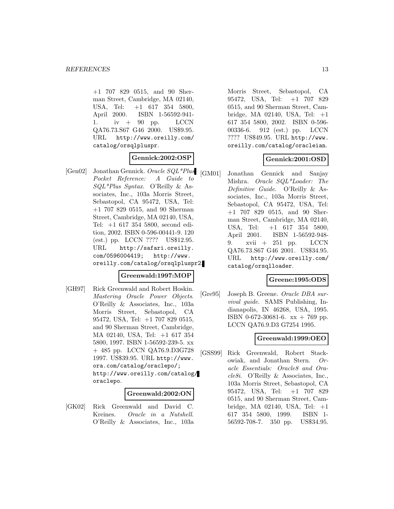+1 707 829 0515, and 90 Sherman Street, Cambridge, MA 02140, USA, Tel: +1 617 354 5800, April 2000. ISBN 1-56592-941- 1. iv  $+$  90 pp. LCCN QA76.73.S67 G46 2000. US\$9.95. URL http://www.oreilly.com/ catalog/orsqlpluspr.

# **Gennick:2002:OSP**

[Gen02] Jonathan Gennick. Oracle SQL\*Plus Pocket Reference: A Guide to SQL\*Plus Syntax. O'Reilly & Associates, Inc., 103a Morris Street, Sebastopol, CA 95472, USA, Tel: +1 707 829 0515, and 90 Sherman Street, Cambridge, MA 02140, USA, Tel: +1 617 354 5800, second edition, 2002. ISBN 0-596-00441-9. 120 (est.) pp. LCCN ???? US\$12.95. URL http://safari.oreilly. com/0596004419; http://www. oreilly.com/catalog/orsqlpluspr2.

# **Greenwald:1997:MOP**

[GH97] Rick Greenwald and Robert Hoskin. Mastering Oracle Power Objects. O'Reilly & Associates, Inc., 103a Morris Street, Sebastopol, CA 95472, USA, Tel: +1 707 829 0515, and 90 Sherman Street, Cambridge, MA 02140, USA, Tel: +1 617 354 5800, 1997. ISBN 1-56592-239-5. xx + 485 pp. LCCN QA76.9.D3G728 1997. US\$39.95. URL http://www. ora.com/catalog/oraclepo/; http://www.oreilly.com/catalog/ oraclepo.

#### **Greenwald:2002:ON**

[GK02] Rick Greenwald and David C. Kreines. Oracle in a Nutshell. O'Reilly & Associates, Inc., 103a

Morris Street, Sebastopol, CA 95472, USA, Tel: +1 707 829 0515, and 90 Sherman Street, Cambridge, MA 02140, USA, Tel: +1 617 354 5800, 2002. ISBN 0-596- 00336-6. 912 (est.) pp. LCCN ???? US\$49.95. URL http://www. oreilly.com/catalog/oracleian.

# **Gennick:2001:OSD**

[GM01] Jonathan Gennick and Sanjay Mishra. Oracle SQL\*Loader: The Definitive Guide. O'Reilly & Associates, Inc., 103a Morris Street, Sebastopol, CA 95472, USA, Tel: +1 707 829 0515, and 90 Sherman Street, Cambridge, MA 02140, USA, Tel: +1 617 354 5800, April 2001. ISBN 1-56592-948- 9. xvii + 251 pp. LCCN QA76.73.S67 G46 2001. US\$34.95. URL http://www.oreilly.com/ catalog/orsqlloader.

#### **Greene:1995:ODS**

[Gre95] Joseph B. Greene. Oracle DBA survival guide. SAMS Publishing, Indianapolis, IN 46268, USA, 1995. ISBN 0-672-30681-6. xx + 769 pp. LCCN QA76.9.D3 G7254 1995.

# **Greenwald:1999:OEO**

[GSS99] Rick Greenwald, Robert Stackowiak, and Jonathan Stern. Oracle Essentials: Oracle8 and Oracle8i. O'Reilly & Associates, Inc., 103a Morris Street, Sebastopol, CA 95472, USA, Tel: +1 707 829 0515, and 90 Sherman Street, Cambridge, MA 02140, USA, Tel: +1 617 354 5800, 1999. ISBN 1- 56592-708-7. 350 pp. US\$34.95.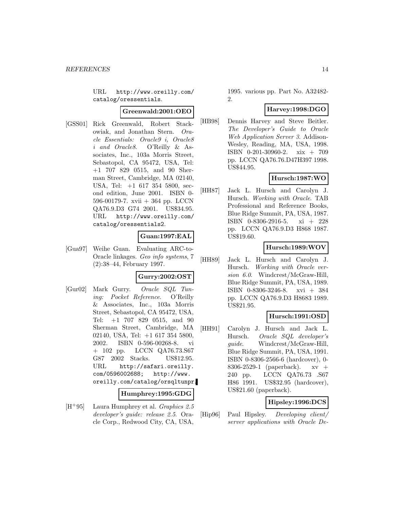URL http://www.oreilly.com/ catalog/oressentials.

### **Greenwald:2001:OEO**

[GSS01] Rick Greenwald, Robert Stackowiak, and Jonathan Stern. Oracle Essentials: Oracle9 i, Oracle8 i and Oracle8. O'Reilly & Associates, Inc., 103a Morris Street, Sebastopol, CA 95472, USA, Tel: +1 707 829 0515, and 90 Sherman Street, Cambridge, MA 02140, USA, Tel: +1 617 354 5800, second edition, June 2001. ISBN 0- 596-00179-7. xvii + 364 pp. LCCN QA76.9.D3 G74 2001. US\$34.95. URL http://www.oreilly.com/ catalog/oressentials2.

#### **Guan:1997:EAL**

[Gua97] Weihe Guan. Evaluating ARC-to-Oracle linkages. Geo info systems, 7 (2):38–44, February 1997.

#### **Gurry:2002:OST**

[Gur02] Mark Gurry. Oracle SQL Tuning: Pocket Reference. O'Reilly & Associates, Inc., 103a Morris Street, Sebastopol, CA 95472, USA, Tel: +1 707 829 0515, and 90 Sherman Street, Cambridge, MA 02140, USA, Tel: +1 617 354 5800, 2002. ISBN 0-596-00268-8. vi + 102 pp. LCCN QA76.73.S67 G87 2002 Stacks. US\$12.95. URL http://safari.oreilly. com/0596002688; http://www. oreilly.com/catalog/orsqltunpr.

#### **Humphrey:1995:GDG**

 $[H^+95]$  Laura Humphrey et al. *Graphics* 2.5 developer's guide: release 2.5. Oracle Corp., Redwood City, CA, USA,

1995. various pp. Part No. A32482- 2.

# **Harvey:1998:DGO**

[HB98] Dennis Harvey and Steve Beitler. The Developer's Guide to Oracle Web Application Server 3. Addison-Wesley, Reading, MA, USA, 1998. ISBN 0-201-30960-2. xix + 709 pp. LCCN QA76.76.D47H397 1998. US\$44.95.

# **Hursch:1987:WO**

[HH87] Jack L. Hursch and Carolyn J. Hursch. Working with Oracle. TAB Professional and Reference Books, Blue Ridge Summit, PA, USA, 1987. ISBN 0-8306-2916-5. xi + 228 pp. LCCN QA76.9.D3 H868 1987. US\$19.60.

# **Hursch:1989:WOV**

[HH89] Jack L. Hursch and Carolyn J. Hursch. Working with Oracle version 6.0. Windcrest/McGraw-Hill, Blue Ridge Summit, PA, USA, 1989. ISBN 0-8306-3246-8. xvi + 384 pp. LCCN QA76.9.D3 H8683 1989. US\$21.95.

# **Hursch:1991:OSD**

[HH91] Carolyn J. Hursch and Jack L. Hursch. Oracle SQL developer's quide. Windcrest/McGraw-Hill, Blue Ridge Summit, PA, USA, 1991. ISBN 0-8306-2566-6 (hardcover), 0- 8306-2529-1 (paperback). xv + 240 pp. LCCN QA76.73 .S67 H86 1991. US\$32.95 (hardcover), US\$21.60 (paperback).

# **Hipsley:1996:DCS**

[Hip96] Paul Hipsley. Developing client/ server applications with Oracle De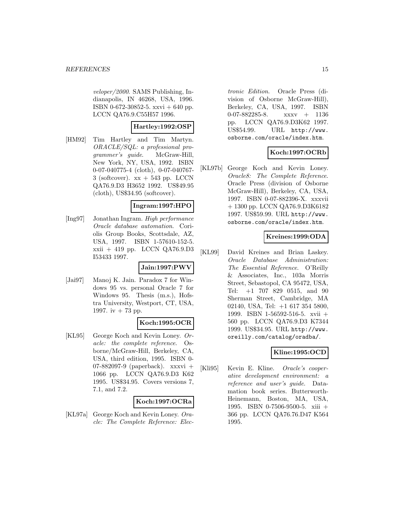veloper/2000. SAMS Publishing, Indianapolis, IN 46268, USA, 1996. ISBN 0-672-30852-5. xxvi + 640 pp. LCCN QA76.9.C55H57 1996.

# **Hartley:1992:OSP**

[HM92] Tim Hartley and Tim Martyn. ORACLE/SQL: a professional programmer's guide. McGraw-Hill, New York, NY, USA, 1992. ISBN 0-07-040775-4 (cloth), 0-07-040767-  $3$  (softcover).  $xx + 543$  pp. LCCN QA76.9.D3 H3652 1992. US\$49.95  $(cloth)$ , US\$34.95 (softcover).

#### **Ingram:1997:HPO**

[Ing97] Jonathan Ingram. High performance Oracle database automation. Coriolis Group Books, Scottsdale, AZ, USA, 1997. ISBN 1-57610-152-5. xxii + 419 pp. LCCN QA76.9.D3 I53433 1997.

#### **Jain:1997:PWV**

[Jai97] Manoj K. Jain. Paradox 7 for Windows 95 vs. personal Oracle 7 for Windows 95. Thesis (m.s.), Hofstra University, Westport, CT, USA, 1997. iv  $+ 73$  pp.

#### **Koch:1995:OCR**

[KL95] George Koch and Kevin Loney. Oracle: the complete reference. Osborne/McGraw-Hill, Berkeley, CA, USA, third edition, 1995. ISBN 0- 07-882097-9 (paperback). xxxvi + 1066 pp. LCCN QA76.9.D3 K62 1995. US\$34.95. Covers versions 7, 7.1, and 7.2.

#### **Koch:1997:OCRa**

[KL97a] George Koch and Kevin Loney. Oracle: The Complete Reference: Elec-

tronic Edition. Oracle Press (division of Osborne McGraw-Hill), Berkeley, CA, USA, 1997. ISBN 0-07-882285-8. xxxv + 1136 pp. LCCN QA76.9.D3K62 1997. US\$54.99. URL http://www. osborne.com/oracle/index.htm.

# **Koch:1997:OCRb**

[KL97b] George Koch and Kevin Loney. Oracle8: The Complete Reference. Oracle Press (division of Osborne McGraw-Hill), Berkeley, CA, USA, 1997. ISBN 0-07-882396-X. xxxvii + 1300 pp. LCCN QA76.9.D3K6182 1997. US\$59.99. URL http://www. osborne.com/oracle/index.htm.

# **Kreines:1999:ODA**

[KL99] David Kreines and Brian Laskey. Oracle Database Administration: The Essential Reference. O'Reilly & Associates, Inc., 103a Morris Street, Sebastopol, CA 95472, USA, Tel: +1 707 829 0515, and 90 Sherman Street, Cambridge, MA 02140, USA, Tel: +1 617 354 5800, 1999. ISBN 1-56592-516-5. xvii + 560 pp. LCCN QA76.9.D3 K7344 1999. US\$34.95. URL http://www. oreilly.com/catalog/oradba/.

# **Kline:1995:OCD**

[Kli95] Kevin E. Kline. Oracle's cooperative development environment: a reference and user's guide. Datamation book series. Butterworth-Heinemann, Boston, MA, USA, 1995. ISBN 0-7506-9500-5. xiii + 366 pp. LCCN QA76.76.D47 K564 1995.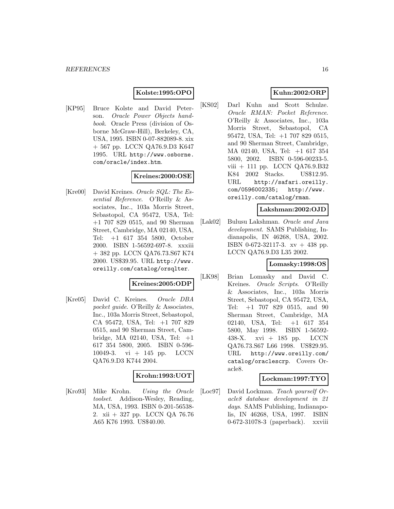# **Kolste:1995:OPO**

[KP95] Bruce Kolste and David Peterson. Oracle Power Objects handbook. Oracle Press (division of Osborne McGraw-Hill), Berkeley, CA, USA, 1995. ISBN 0-07-882089-8. xix + 567 pp. LCCN QA76.9.D3 K647 1995. URL http://www.osborne. com/oracle/index.htm.

# **Kreines:2000:OSE**

[Kre00] David Kreines. *Oracle SQL: The Es*sential Reference. O'Reilly & Associates, Inc., 103a Morris Street, Sebastopol, CA 95472, USA, Tel: +1 707 829 0515, and 90 Sherman Street, Cambridge, MA 02140, USA, Tel: +1 617 354 5800, October 2000. ISBN 1-56592-697-8. xxxiii + 382 pp. LCCN QA76.73.S67 K74 2000. US\$39.95. URL http://www. oreilly.com/catalog/orsqlter.

#### **Kreines:2005:ODP**

[Kre05] David C. Kreines. Oracle DBA pocket guide. O'Reilly & Associates, Inc., 103a Morris Street, Sebastopol, CA 95472, USA, Tel: +1 707 829 0515, and 90 Sherman Street, Cambridge, MA 02140, USA, Tel: +1 617 354 5800, 2005. ISBN 0-596- 10049-3. vi + 145 pp. LCCN QA76.9.D3 K744 2004.

# **Krohn:1993:UOT**

[Kro93] Mike Krohn. Using the Oracle toolset. Addison-Wesley, Reading, MA, USA, 1993. ISBN 0-201-56538- 2. xii + 327 pp. LCCN QA 76.76 A65 K76 1993. US\$40.00.

# **Kuhn:2002:ORP**

[KS02] Darl Kuhn and Scott Schulze. Oracle RMAN: Pocket Reference. O'Reilly & Associates, Inc., 103a Morris Street, Sebastopol, CA 95472, USA, Tel: +1 707 829 0515, and 90 Sherman Street, Cambridge, MA 02140, USA, Tel: +1 617 354 5800, 2002. ISBN 0-596-00233-5. viii + 111 pp. LCCN QA76.9.B32 K84 2002 Stacks. US\$12.95. URL http://safari.oreilly. com/0596002335; http://www. oreilly.com/catalog/rman.

### **Lakshman:2002:OJD**

[Lak02] Bulusu Lakshman. Oracle and Java development. SAMS Publishing, Indianapolis, IN 46268, USA, 2002. ISBN 0-672-32117-3. xv + 438 pp. LCCN QA76.9.D3 L35 2002.

# **Lomasky:1998:OS**

[LK98] Brian Lomasky and David C. Kreines. Oracle Scripts. O'Reilly & Associates, Inc., 103a Morris Street, Sebastopol, CA 95472, USA, Tel: +1 707 829 0515, and 90 Sherman Street, Cambridge, MA 02140, USA, Tel: +1 617 354 5800, May 1998. ISBN 1-56592- 438-X. xvi + 185 pp. LCCN QA76.73.S67 L66 1998. US\$29.95. URL http://www.oreilly.com/ catalog/oraclescrp. Covers Oracle8.

# **Lockman:1997:TYO**

[Loc97] David Lockman. Teach yourself Oracle8 database development in 21 days. SAMS Publishing, Indianapolis, IN 46268, USA, 1997. ISBN 0-672-31078-3 (paperback). xxviii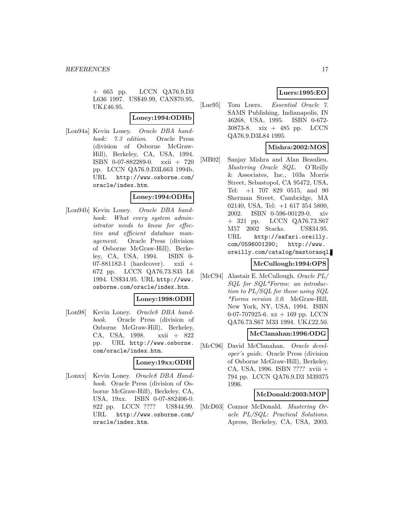+ 665 pp. LCCN QA76.9.D3 L636 1997. US\$49.99, CAN\$70.95, UK£46.95.

#### **Loney:1994:ODHb**

[Lon94a] Kevin Loney. Oracle DBA handbook: 7.3 edition. Oracle Press (division of Osborne McGraw-Hill), Berkeley, CA, USA, 1994. ISBN 0-07-882289-0. xxii + 720 pp. LCCN QA76.9.D3L663 1994b. URL http://www.osborne.com/ oracle/index.htm.

#### **Loney:1994:ODHa**

[Lon94b] Kevin Loney. Oracle DBA handbook: What every system administrator needs to know for effective and efficient database management. Oracle Press (division of Osborne McGraw-Hill), Berkeley, CA, USA, 1994. ISBN 0- 07-881182-1 (hardcover). xxii + 672 pp. LCCN QA76.73.S35 L6 1994. US\$34.95. URL http://www. osborne.com/oracle/index.htm.

#### **Loney:1998:ODH**

[Lon98] Kevin Loney. *Oracle8 DBA hand*book. Oracle Press (division of Osborne McGraw-Hill), Berkeley, CA, USA, 1998. xxii + 822 pp. URL http://www.osborne. com/oracle/index.htm.

#### **Loney:19xx:ODH**

[Lonxx] Kevin Loney. Oracle8 DBA Handbook. Oracle Press (division of Osborne McGraw-Hill), Berkeley, CA, USA, 19xx. ISBN 0-07-882406-0. 822 pp. LCCN ???? US\$44.99. URL http://www.osborne.com/ oracle/index.htm.

# **Luers:1995:EO**

[Lue95] Tom Luers. Essential Oracle 7. SAMS Publishing, Indianapolis, IN 46268, USA, 1995. ISBN 0-672- 30873-8. xix + 485 pp. LCCN QA76.9.D3L84 1995.

# **Mishra:2002:MOS**

[MB02] Sanjay Mishra and Alan Beaulieu. Mastering Oracle SQL. O'Reilly & Associates, Inc., 103a Morris Street, Sebastopol, CA 95472, USA, Tel: +1 707 829 0515, and 90 Sherman Street, Cambridge, MA 02140, USA, Tel: +1 617 354 5800, 2002. ISBN 0-596-00129-0. xiv + 321 pp. LCCN QA76.73.S67 M57 2002 Stacks. US\$34.95. URL http://safari.oreilly. com/0596001290; http://www. oreilly.com/catalog/mastorasql.

# **McCullough:1994:OPS**

[McC94] Alastair E. McCullough. Oracle PL/ SQL for SQL\*Forms: an introduction to PL/SQL for those using SQL \*Forms version 3.0. McGraw-Hill, New York, NY, USA, 1994. ISBN 0-07-707925-6.  $xx + 169$  pp. LCCN QA76.73.S67 M33 1994. UK£22.50.

#### **McClanahan:1996:ODG**

[McC96] David McClanahan. Oracle developer's guide. Oracle Press (division of Osborne McGraw-Hill), Berkeley, CA, USA, 1996. ISBN ???? xviii + 794 pp. LCCN QA76.9.D3 M39375 1996.

#### **McDonald:2003:MOP**

[McD03] Connor McDonald. Mastering Oracle PL/SQL: Practical Solutions. Apress, Berkeley, CA, USA, 2003.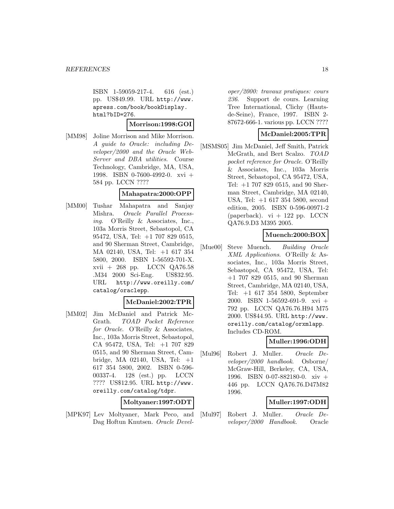ISBN 1-59059-217-4. 616 (est.) pp. US\$49.99. URL http://www. apress.com/book/bookDisplay. html?bID=276.

#### **Morrison:1998:GOI**

[MM98] Joline Morrison and Mike Morrison. A guide to Oracle: including Developer/2000 and the Oracle Web-Server and DBA utilities. Course Technology, Cambridge, MA, USA, 1998. ISBN 0-7600-4992-0. xvi + 584 pp. LCCN ????

### **Mahapatra:2000:OPP**

[MM00] Tushar Mahapatra and Sanjay Mishra. Oracle Parallel Processing. O'Reilly & Associates, Inc., 103a Morris Street, Sebastopol, CA 95472, USA, Tel: +1 707 829 0515, and 90 Sherman Street, Cambridge, MA 02140, USA, Tel: +1 617 354 5800, 2000. ISBN 1-56592-701-X. xvii + 268 pp. LCCN QA76.58 .M34 2000 Sci-Eng. US\$32.95. URL http://www.oreilly.com/ catalog/oraclepp.

#### **McDaniel:2002:TPR**

[MM02] Jim McDaniel and Patrick Mc-Grath. TOAD Pocket Reference for Oracle. O'Reilly & Associates, Inc., 103a Morris Street, Sebastopol, CA 95472, USA, Tel: +1 707 829 0515, and 90 Sherman Street, Cambridge, MA 02140, USA, Tel: +1 617 354 5800, 2002. ISBN 0-596- 00337-4. 128 (est.) pp. LCCN ???? US\$12.95. URL http://www. oreilly.com/catalog/tdpr.

#### **Moltyaner:1997:ODT**

[MPK97] Lev Moltyaner, Mark Peco, and Dag Hoftun Knutsen. Oracle Devel-

oper/2000: travaux pratiques: cours 236. Support de cours. Learning Tree International, Clichy (Hautsde-Seine), France, 1997. ISBN 2- 87672-666-1. various pp. LCCN ????

# **McDaniel:2005:TPR**

[MSMS05] Jim McDaniel, Jeff Smith, Patrick McGrath, and Bert Scalzo. TOAD pocket reference for Oracle. O'Reilly & Associates, Inc., 103a Morris Street, Sebastopol, CA 95472, USA, Tel: +1 707 829 0515, and 90 Sherman Street, Cambridge, MA 02140, USA, Tel: +1 617 354 5800, second edition, 2005. ISBN 0-596-00971-2 (paperback).  $vi + 122$  pp. LCCN QA76.9.D3 M395 2005.

# **Muench:2000:BOX**

[Mue00] Steve Muench. Building Oracle XML Applications. O'Reilly & Associates, Inc., 103a Morris Street, Sebastopol, CA 95472, USA, Tel: +1 707 829 0515, and 90 Sherman Street, Cambridge, MA 02140, USA, Tel: +1 617 354 5800, September 2000. ISBN 1-56592-691-9. xvi + 792 pp. LCCN QA76.76.H94 M75 2000. US\$44.95. URL http://www. oreilly.com/catalog/orxmlapp. Includes CD-ROM.

# **Muller:1996:ODH**

[Mul96] Robert J. Muller. Oracle Developer/2000 handbook. Osborne/ McGraw-Hill, Berkeley, CA, USA, 1996. ISBN 0-07-882180-0. xiv + 446 pp. LCCN QA76.76.D47M82 1996.

# **Muller:1997:ODH**

[Mul97] Robert J. Muller. Oracle Developer/2000 Handbook. Oracle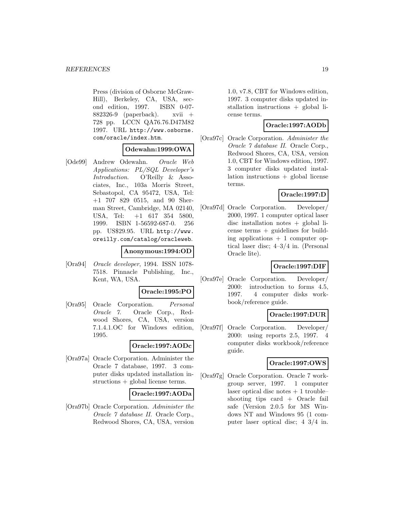Press (division of Osborne McGraw-Hill), Berkeley, CA, USA, second edition, 1997. ISBN 0-07- 882326-9 (paperback). xvii  $+$ 728 pp. LCCN QA76.76.D47M82 1997. URL http://www.osborne. com/oracle/index.htm.

### **Odewahn:1999:OWA**

[Ode99] Andrew Odewahn. Oracle Web Applications: PL/SQL Developer's Introduction. O'Reilly & Associates, Inc., 103a Morris Street, Sebastopol, CA 95472, USA, Tel: +1 707 829 0515, and 90 Sherman Street, Cambridge, MA 02140, USA, Tel: +1 617 354 5800, 1999. ISBN 1-56592-687-0. 256 pp. US\$29.95. URL http://www. oreilly.com/catalog/oracleweb.

### **Anonymous:1994:OD**

[Ora94] Oracle developer, 1994. ISSN 1078- 7518. Pinnacle Publishing, Inc., Kent, WA, USA.

#### **Oracle:1995:PO**

[Ora95] Oracle Corporation. Personal Oracle 7. Oracle Corp., Redwood Shores, CA, USA, version 7.1.4.1.OC for Windows edition, 1995.

# **Oracle:1997:AODc**

[Ora97a] Oracle Corporation. Administer the Oracle 7 database, 1997. 3 computer disks updated installation instructions + global license terms.

#### **Oracle:1997:AODa**

[Ora97b] Oracle Corporation. Administer the Oracle 7 database II. Oracle Corp., Redwood Shores, CA, USA, version

1.0, v7.8, CBT for Windows edition, 1997. 3 computer disks updated installation instructions + global license terms.

# **Oracle:1997:AODb**

[Ora97c] Oracle Corporation. Administer the Oracle 7 database II. Oracle Corp., Redwood Shores, CA, USA, version 1.0, CBT for Windows edition, 1997. 3 computer disks updated installation instructions + global license terms.

# **Oracle:1997:D**

[Ora97d] Oracle Corporation. Developer/ 2000, 1997. 1 computer optical laser disc installation notes + global license terms + guidelines for building applications  $+1$  computer optical laser disc; 4–3/4 in. (Personal Oracle lite).

# **Oracle:1997:DIF**

[Ora97e] Oracle Corporation. Developer/ 2000: introduction to forms 4.5, 1997. 4 computer disks workbook/reference guide.

# **Oracle:1997:DUR**

[Ora97f] Oracle Corporation. Developer/ 2000: using reports 2.5, 1997. 4 computer disks workbook/reference guide.

#### **Oracle:1997:OWS**

[Ora97g] Oracle Corporation. Oracle 7 workgroup server, 1997. 1 computer laser optical disc notes  $+1$  troubleshooting tips card + Oracle fail safe (Version 2.0.5 for MS Windows NT and Windows 95 (1 computer laser optical disc; 4 3/4 in.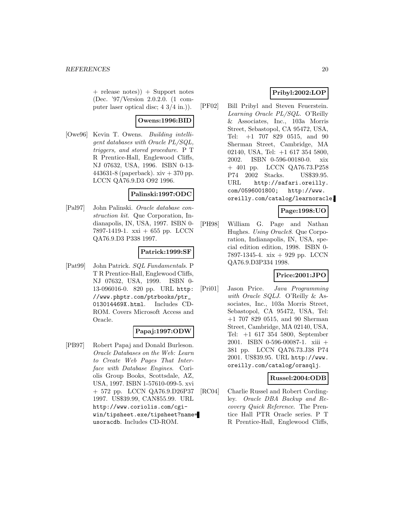+ release notes)) + Support notes (Dec. '97/Version 2.0.2.0. (1 computer laser optical disc; 4 3/4 in.)).

# **Owens:1996:BID**

[Owe96] Kevin T. Owens. Building intelligent databases with Oracle PL/SQL, triggers, and stored procedure. PT R Prentice-Hall, Englewood Cliffs, NJ 07632, USA, 1996. ISBN 0-13- 443631-8 (paperback).  $xiv + 370$  pp. LCCN QA76.9.D3 O92 1996.

# **Palinski:1997:ODC**

[Pal97] John Palinski. Oracle database construction kit. Que Corporation, Indianapolis, IN, USA, 1997. ISBN 0- 7897-1419-1. xxi + 655 pp. LCCN QA76.9.D3 P338 1997.

# **Patrick:1999:SF**

[Pat99] John Patrick. SQL Fundamentals. P T R Prentice-Hall, Englewood Cliffs, NJ 07632, USA, 1999. ISBN 0- 13-096016-0. 820 pp. URL http: //www.phptr.com/ptrbooks/ptr\_ 013014469X.html. Includes CD-ROM. Covers Microsoft Access and Oracle.

# **Papaj:1997:ODW**

[PB97] Robert Papaj and Donald Burleson. Oracle Databases on the Web: Learn to Create Web Pages That Interface with Database Engines. Coriolis Group Books, Scottsdale, AZ, USA, 1997. ISBN 1-57610-099-5. xvi + 572 pp. LCCN QA76.9.D26P37 1997. US\$39.99, CAN\$55.99. URL http://www.coriolis.com/cgiwin/tipsheet.exe/tipsheet?name= usoracdb. Includes CD-ROM.

# **Pribyl:2002:LOP**

[PF02] Bill Pribyl and Steven Feuerstein. Learning Oracle PL/SQL. O'Reilly & Associates, Inc., 103a Morris Street, Sebastopol, CA 95472, USA, Tel: +1 707 829 0515, and 90 Sherman Street, Cambridge, MA 02140, USA, Tel: +1 617 354 5800, 2002. ISBN 0-596-00180-0. xix + 401 pp. LCCN QA76.73.P258 P74 2002 Stacks. US\$39.95. URL http://safari.oreilly. com/0596001800; http://www. oreilly.com/catalog/learnoracle.

# **Page:1998:UO**

[PH98] William G. Page and Nathan Hughes. Using Oracle8. Que Corporation, Indianapolis, IN, USA, special edition edition, 1998. ISBN 0- 7897-1345-4. xix + 929 pp. LCCN QA76.9.D3P334 1998.

# **Price:2001:JPO**

[Pri01] Jason Price. Java Programming with Oracle SQLJ. O'Reilly & Associates, Inc., 103a Morris Street, Sebastopol, CA 95472, USA, Tel: +1 707 829 0515, and 90 Sherman Street, Cambridge, MA 02140, USA, Tel: +1 617 354 5800, September 2001. ISBN 0-596-00087-1. xiii + 381 pp. LCCN QA76.73.J38 P74 2001. US\$39.95. URL http://www. oreilly.com/catalog/orasqlj.

# **Russel:2004:ODB**

[RC04] Charlie Russel and Robert Cordingley. Oracle DBA Backup and Recovery Quick Reference. The Prentice Hall PTR Oracle series. P T R Prentice-Hall, Englewood Cliffs,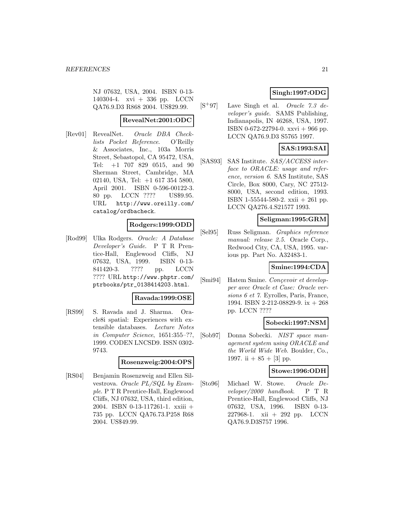NJ 07632, USA, 2004. ISBN 0-13- 140304-4. xvi + 336 pp. LCCN QA76.9.D3 R868 2004. US\$29.99.

# **RevealNet:2001:ODC**

[Rev01] RevealNet. Oracle DBA Checklists Pocket Reference. O'Reilly & Associates, Inc., 103a Morris Street, Sebastopol, CA 95472, USA, Tel: +1 707 829 0515, and 90 Sherman Street, Cambridge, MA 02140, USA, Tel: +1 617 354 5800, April 2001. ISBN 0-596-00122-3. 80 pp. LCCN ???? US\$9.95. URL http://www.oreilly.com/ catalog/ordbacheck.

# **Rodgers:1999:ODD**

[Rod99] Ulka Rodgers. Oracle: A Database Developer's Guide. P T R Prentice-Hall, Englewood Cliffs, NJ 07632, USA, 1999. ISBN 0-13- 841420-3. ???? pp. LCCN ???? URL http://www.phptr.com/ ptrbooks/ptr\_0138414203.html.

#### **Ravada:1999:OSE**

[RS99] S. Ravada and J. Sharma. Oracle8i spatial: Experiences with extensible databases. Lecture Notes in Computer Science, 1651:355–??, 1999. CODEN LNCSD9. ISSN 0302- 9743.

#### **Rosenzweig:2004:OPS**

[RS04] Benjamin Rosenzweig and Ellen Silvestrova. Oracle PL/SQL by Example. P T R Prentice-Hall, Englewood Cliffs, NJ 07632, USA, third edition, 2004. ISBN 0-13-117261-1. xxiii + 735 pp. LCCN QA76.73.P258 R68 2004. US\$49.99.

# **Singh:1997:ODG**

[S<sup>+</sup>97] Lave Singh et al. Oracle 7.3 developer's guide. SAMS Publishing, Indianapolis, IN 46268, USA, 1997. ISBN 0-672-22794-0. xxvi + 966 pp. LCCN QA76.9.D3 S5765 1997.

# **SAS:1993:SAI**

[SAS93] SAS Institute. SAS/ACCESS interface to ORACLE: usage and reference, version 6. SAS Institute, SAS Circle, Box 8000, Cary, NC 27512- 8000, USA, second edition, 1993. ISBN 1-55544-580-2. xxii + 261 pp. LCCN QA276.4.S21577 1993.

# **Seligman:1995:GRM**

[Sel95] Russ Seligman. Graphics reference manual: release 2.5. Oracle Corp., Redwood City, CA, USA, 1995. various pp. Part No. A32483-1.

### **Smine:1994:CDA**

[Smi94] Hatem Smine. Concevoir et developper avec Oracle et Case: Oracle versions 6 et 7. Eyrolles, Paris, France, 1994. ISBN 2-212-08829-9. ix + 268 pp. LCCN ????

#### **Sobecki:1997:NSM**

[Sob97] Donna Sobecki. NIST space management system using ORACLE and the World Wide Web. Boulder, Co., 1997. ii  $+ 85 + [3]$  pp.

#### **Stowe:1996:ODH**

[Sto96] Michael W. Stowe. Oracle De $velocity/2000$  handbook. P T R Prentice-Hall, Englewood Cliffs, NJ 07632, USA, 1996. ISBN 0-13- 227968-1. xii + 292 pp. LCCN QA76.9.D3S757 1996.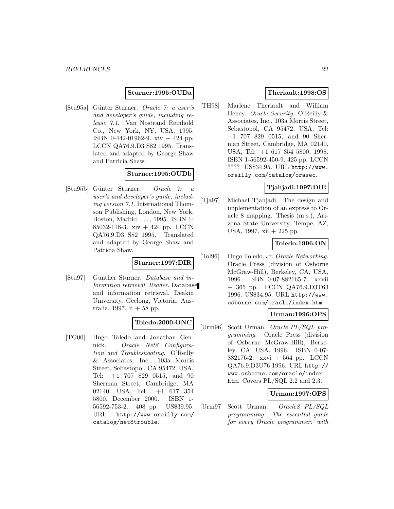#### **Sturner:1995:OUDa**

[Stu95a] G¨unter Sturner. Oracle 7: a user's and developer's guide, including release 7.1. Van Nostrand Reinhold Co., New York, NY, USA, 1995. ISBN 0-442-01962-9. xiv + 424 pp. LCCN QA76.9.D3 S82 1995. Translated and adapted by George Shaw and Patricia Shaw.

#### **Sturner:1995:OUDb**

[Stu95b] G¨unter Sturner. Oracle 7: a user's and developer's guide, including version 7.1. International Thomson Publishing, London, New York, Boston, Madrid, . . . , 1995. ISBN 1- 85032-118-3. xiv + 424 pp. LCCN QA76.9.D3 S82 1995. Translated and adapted by George Shaw and Patricia Shaw.

# **Sturner:1997:DIR**

[Stu97] Gunther Sturner. Database and information retrieval. Reader. Database and information retrieval. Deakin University, Geelong, Victoria, Australia, 1997. ii  $+ 58$  pp.

#### **Toledo:2000:ONC**

[TG00] Hugo Toledo and Jonathan Gennick. Oracle Net8 Configuration and Troubleshooting. O'Reilly & Associates, Inc., 103a Morris Street, Sebastopol, CA 95472, USA, Tel: +1 707 829 0515, and 90 Sherman Street, Cambridge, MA 02140, USA, Tel: +1 617 354 5800, December 2000. ISBN 1- 56592-753-2. 408 pp. US\$39.95. URL http://www.oreilly.com/ catalog/net8trouble.

# **Theriault:1998:OS**

[TH98] Marlene Theriault and William Heney. Oracle Security. O'Reilly & Associates, Inc., 103a Morris Street, Sebastopol, CA 95472, USA, Tel: +1 707 829 0515, and 90 Sherman Street, Cambridge, MA 02140, USA, Tel: +1 617 354 5800, 1998. ISBN 1-56592-450-9. 425 pp. LCCN ???? US\$34.95. URL http://www. oreilly.com/catalog/orasec.

# **Tjahjadi:1997:DIE**

[Tja97] Michael Tjahjadi. The design and implementation of an express to Oracle 8 mapping. Thesis (m.s.), Arizona State University, Tempe, AZ, USA, 1997. xii + 225 pp.

# **Toledo:1996:ON**

[Tol96] Hugo Toledo, Jr. Oracle Networking. Oracle Press (division of Osborne McGraw-Hill), Berkeley, CA, USA, 1996. ISBN 0-07-882165-7. xxvii + 365 pp. LCCN QA76.9.D3T63 1996. US\$34.95. URL http://www. osborne.com/oracle/index.htm.

### **Urman:1996:OPS**

[Urm96] Scott Urman. Oracle PL/SQL programming. Oracle Press (division of Osborne McGraw-Hill), Berkeley, CA, USA, 1996. ISBN 0-07- 882176-2. xxvi + 564 pp. LCCN QA76.9.D3U76 1996. URL http:// www.osborne.com/oracle/index. htm. Covers PL/SQL 2.2 and 2.3.

### **Urman:1997:OPS**

[Urm97] Scott Urman. Oracle8 PL/SQL programming: The essential guide for every Oracle programmer: with